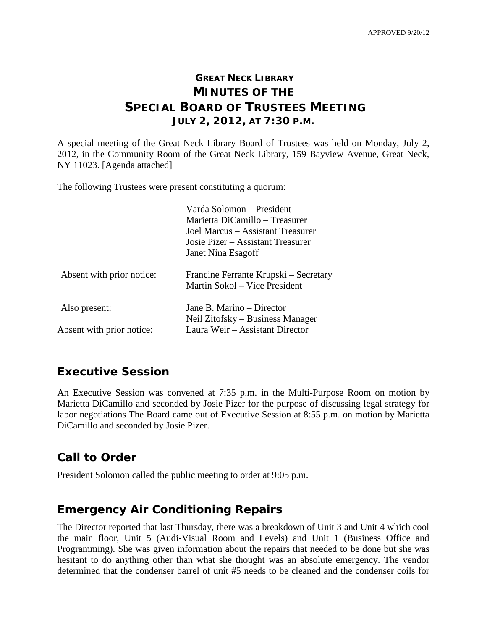## **GREAT NECK LIBRARY MINUTES OF THE SPECIAL BOARD OF TRUSTEES MEETING JULY 2, 2012, AT 7:30 P.M.**

A special meeting of the Great Neck Library Board of Trustees was held on Monday, July 2, 2012, in the Community Room of the Great Neck Library, 159 Bayview Avenue, Great Neck, NY 11023. [Agenda attached]

The following Trustees were present constituting a quorum:

|                           | Varda Solomon – President<br>Marietta DiCamillo – Treasurer<br>Joel Marcus – Assistant Treasurer<br>Josie Pizer – Assistant Treasurer<br>Janet Nina Esagoff |
|---------------------------|-------------------------------------------------------------------------------------------------------------------------------------------------------------|
| Absent with prior notice: | Francine Ferrante Krupski – Secretary<br>Martin Sokol – Vice President                                                                                      |
| Also present:             | Jane B. Marino – Director                                                                                                                                   |
|                           | Neil Zitofsky – Business Manager                                                                                                                            |
| Absent with prior notice: | Laura Weir – Assistant Director                                                                                                                             |

#### **Executive Session**

An Executive Session was convened at 7:35 p.m. in the Multi-Purpose Room on motion by Marietta DiCamillo and seconded by Josie Pizer for the purpose of discussing legal strategy for labor negotiations The Board came out of Executive Session at 8:55 p.m. on motion by Marietta DiCamillo and seconded by Josie Pizer.

## **Call to Order**

President Solomon called the public meeting to order at 9:05 p.m.

## **Emergency Air Conditioning Repairs**

The Director reported that last Thursday, there was a breakdown of Unit 3 and Unit 4 which cool the main floor, Unit 5 (Audi-Visual Room and Levels) and Unit 1 (Business Office and Programming). She was given information about the repairs that needed to be done but she was hesitant to do anything other than what she thought was an absolute emergency. The vendor determined that the condenser barrel of unit #5 needs to be cleaned and the condenser coils for